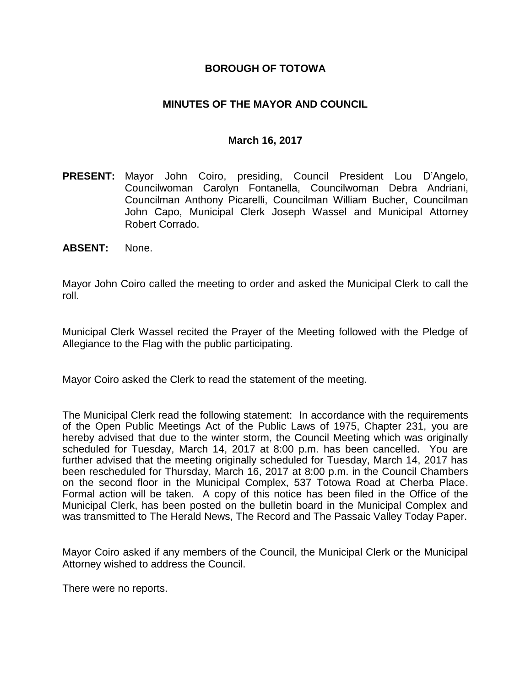### **BOROUGH OF TOTOWA**

### **MINUTES OF THE MAYOR AND COUNCIL**

#### **March 16, 2017**

- **PRESENT:** Mayor John Coiro, presiding, Council President Lou D'Angelo, Councilwoman Carolyn Fontanella, Councilwoman Debra Andriani, Councilman Anthony Picarelli, Councilman William Bucher, Councilman John Capo, Municipal Clerk Joseph Wassel and Municipal Attorney Robert Corrado.
- **ABSENT:** None.

Mayor John Coiro called the meeting to order and asked the Municipal Clerk to call the roll.

Municipal Clerk Wassel recited the Prayer of the Meeting followed with the Pledge of Allegiance to the Flag with the public participating.

Mayor Coiro asked the Clerk to read the statement of the meeting.

The Municipal Clerk read the following statement: In accordance with the requirements of the Open Public Meetings Act of the Public Laws of 1975, Chapter 231, you are hereby advised that due to the winter storm, the Council Meeting which was originally scheduled for Tuesday, March 14, 2017 at 8:00 p.m. has been cancelled. You are further advised that the meeting originally scheduled for Tuesday, March 14, 2017 has been rescheduled for Thursday, March 16, 2017 at 8:00 p.m. in the Council Chambers on the second floor in the Municipal Complex, 537 Totowa Road at Cherba Place. Formal action will be taken. A copy of this notice has been filed in the Office of the Municipal Clerk, has been posted on the bulletin board in the Municipal Complex and was transmitted to The Herald News, The Record and The Passaic Valley Today Paper.

Mayor Coiro asked if any members of the Council, the Municipal Clerk or the Municipal Attorney wished to address the Council.

There were no reports.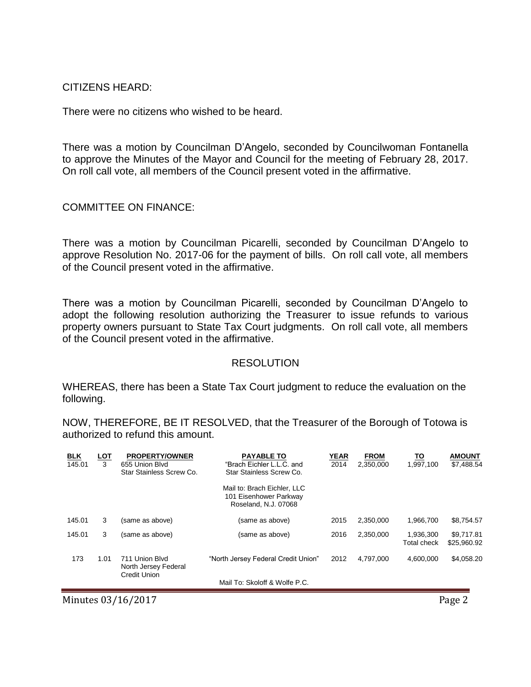CITIZENS HEARD:

There were no citizens who wished to be heard.

There was a motion by Councilman D'Angelo, seconded by Councilwoman Fontanella to approve the Minutes of the Mayor and Council for the meeting of February 28, 2017. On roll call vote, all members of the Council present voted in the affirmative.

COMMITTEE ON FINANCE:

There was a motion by Councilman Picarelli, seconded by Councilman D'Angelo to approve Resolution No. 2017-06 for the payment of bills. On roll call vote, all members of the Council present voted in the affirmative.

There was a motion by Councilman Picarelli, seconded by Councilman D'Angelo to adopt the following resolution authorizing the Treasurer to issue refunds to various property owners pursuant to State Tax Court judgments. On roll call vote, all members of the Council present voted in the affirmative.

#### **RESOLUTION**

WHEREAS, there has been a State Tax Court judgment to reduce the evaluation on the following.

NOW, THEREFORE, BE IT RESOLVED, that the Treasurer of the Borough of Totowa is authorized to refund this amount.

| <u>BLK</u><br>145.01 | <u>LOT</u><br>3 | <b>PROPERTY/OWNER</b><br>655 Union Blvd<br>Star Stainless Screw Co. | <b>PAYABLE TO</b><br>"Brach Eichler L.L.C. and<br>Star Stainless Screw Co.<br>Mail to: Brach Eichler, LLC<br>101 Eisenhower Parkway | <b>YEAR</b><br>2014 | <b>FROM</b><br>2.350.000 | <u>TO</u><br>1.997.100          | <b>AMOUNT</b><br>\$7,488.54 |
|----------------------|-----------------|---------------------------------------------------------------------|-------------------------------------------------------------------------------------------------------------------------------------|---------------------|--------------------------|---------------------------------|-----------------------------|
|                      |                 |                                                                     | Roseland, N.J. 07068                                                                                                                |                     |                          |                                 |                             |
| 145.01               | 3               | (same as above)                                                     | (same as above)                                                                                                                     | 2015                | 2,350,000                | 1,966,700                       | \$8,754.57                  |
| 145.01               | 3               | (same as above)                                                     | (same as above)                                                                                                                     | 2016                | 2,350,000                | 1,936,300<br><b>Total check</b> | \$9.717.81<br>\$25,960.92   |
| 173                  | 1.01            | 711 Union Blvd<br>North Jersey Federal<br><b>Credit Union</b>       | "North Jersey Federal Credit Union"                                                                                                 | 2012                | 4.797.000                | 4.600.000                       | \$4,058.20                  |
|                      |                 |                                                                     | Mail To: Skoloff & Wolfe P.C.                                                                                                       |                     |                          |                                 |                             |

Minutes 03/16/2017 Page 2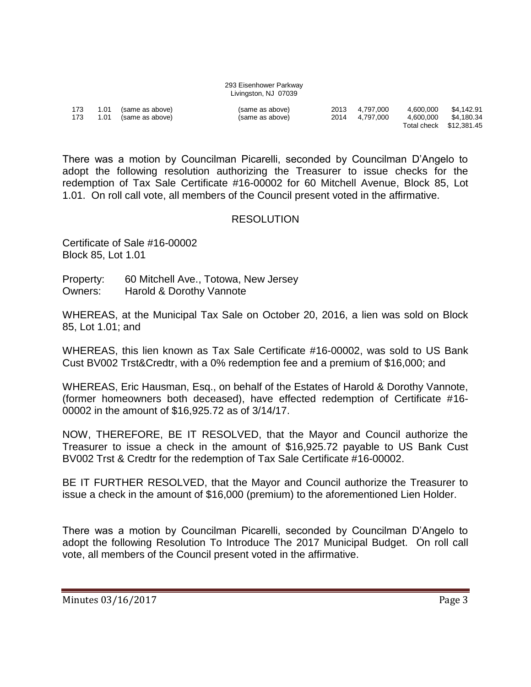| 293 Eisenhower Parkway |  |  |  |  |  |  |  |
|------------------------|--|--|--|--|--|--|--|
| Livingston, NJ 07039   |  |  |  |  |  |  |  |

| 173<br>173 | 1.01 | 1.01 (same as above)<br>(same as above) | (same as above)<br>(same as above) | 2013 4.797.000<br>2014 4.797.000 | 4.600.000<br>4.600.000 | \$4.142.91<br>\$4.180.34 |
|------------|------|-----------------------------------------|------------------------------------|----------------------------------|------------------------|--------------------------|
|            |      |                                         |                                    |                                  |                        | Total check \$12,381.45  |

There was a motion by Councilman Picarelli, seconded by Councilman D'Angelo to adopt the following resolution authorizing the Treasurer to issue checks for the redemption of Tax Sale Certificate #16-00002 for 60 Mitchell Avenue, Block 85, Lot 1.01. On roll call vote, all members of the Council present voted in the affirmative.

#### **RESOLUTION**

Certificate of Sale #16-00002 Block 85, Lot 1.01

Property: 60 Mitchell Ave., Totowa, New Jersey Owners: Harold & Dorothy Vannote

WHEREAS, at the Municipal Tax Sale on October 20, 2016, a lien was sold on Block 85, Lot 1.01; and

WHEREAS, this lien known as Tax Sale Certificate #16-00002, was sold to US Bank Cust BV002 Trst&Credtr, with a 0% redemption fee and a premium of \$16,000; and

WHEREAS, Eric Hausman, Esq., on behalf of the Estates of Harold & Dorothy Vannote, (former homeowners both deceased), have effected redemption of Certificate #16- 00002 in the amount of \$16,925.72 as of 3/14/17.

NOW, THEREFORE, BE IT RESOLVED, that the Mayor and Council authorize the Treasurer to issue a check in the amount of \$16,925.72 payable to US Bank Cust BV002 Trst & Credtr for the redemption of Tax Sale Certificate #16-00002.

BE IT FURTHER RESOLVED, that the Mayor and Council authorize the Treasurer to issue a check in the amount of \$16,000 (premium) to the aforementioned Lien Holder.

There was a motion by Councilman Picarelli, seconded by Councilman D'Angelo to adopt the following Resolution To Introduce The 2017 Municipal Budget. On roll call vote, all members of the Council present voted in the affirmative.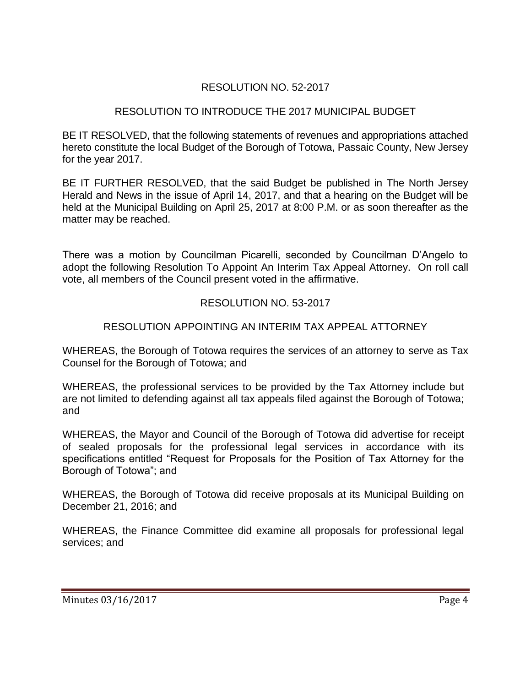# RESOLUTION NO. 52-2017

## RESOLUTION TO INTRODUCE THE 2017 MUNICIPAL BUDGET

BE IT RESOLVED, that the following statements of revenues and appropriations attached hereto constitute the local Budget of the Borough of Totowa, Passaic County, New Jersey for the year 2017.

BE IT FURTHER RESOLVED, that the said Budget be published in The North Jersey Herald and News in the issue of April 14, 2017, and that a hearing on the Budget will be held at the Municipal Building on April 25, 2017 at 8:00 P.M. or as soon thereafter as the matter may be reached.

There was a motion by Councilman Picarelli, seconded by Councilman D'Angelo to adopt the following Resolution To Appoint An Interim Tax Appeal Attorney. On roll call vote, all members of the Council present voted in the affirmative.

# RESOLUTION NO. 53-2017

# RESOLUTION APPOINTING AN INTERIM TAX APPEAL ATTORNEY

WHEREAS, the Borough of Totowa requires the services of an attorney to serve as Tax Counsel for the Borough of Totowa; and

WHEREAS, the professional services to be provided by the Tax Attorney include but are not limited to defending against all tax appeals filed against the Borough of Totowa; and

WHEREAS, the Mayor and Council of the Borough of Totowa did advertise for receipt of sealed proposals for the professional legal services in accordance with its specifications entitled "Request for Proposals for the Position of Tax Attorney for the Borough of Totowa"; and

WHEREAS, the Borough of Totowa did receive proposals at its Municipal Building on December 21, 2016; and

WHEREAS, the Finance Committee did examine all proposals for professional legal services; and

Minutes 03/16/2017 Page 4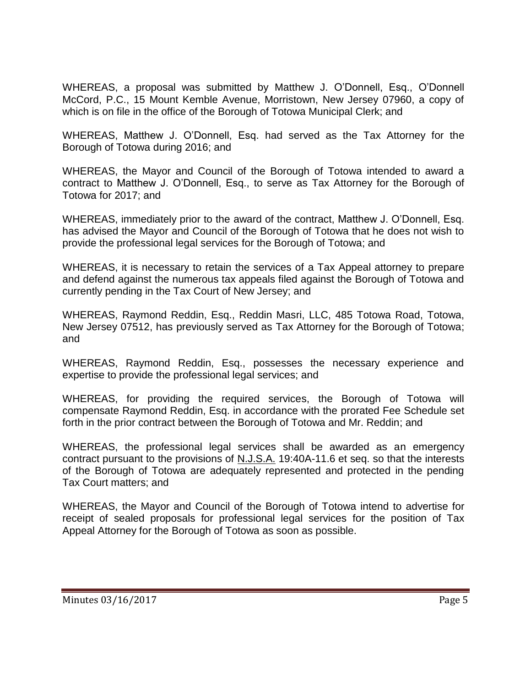WHEREAS, a proposal was submitted by Matthew J. O'Donnell, Esq., O'Donnell McCord, P.C., 15 Mount Kemble Avenue, Morristown, New Jersey 07960, a copy of which is on file in the office of the Borough of Totowa Municipal Clerk; and

WHEREAS, Matthew J. O'Donnell, Esq. had served as the Tax Attorney for the Borough of Totowa during 2016; and

WHEREAS, the Mayor and Council of the Borough of Totowa intended to award a contract to Matthew J. O'Donnell, Esq., to serve as Tax Attorney for the Borough of Totowa for 2017; and

WHEREAS, immediately prior to the award of the contract, Matthew J. O'Donnell, Esq. has advised the Mayor and Council of the Borough of Totowa that he does not wish to provide the professional legal services for the Borough of Totowa; and

WHEREAS, it is necessary to retain the services of a Tax Appeal attorney to prepare and defend against the numerous tax appeals filed against the Borough of Totowa and currently pending in the Tax Court of New Jersey; and

WHEREAS, Raymond Reddin, Esq., Reddin Masri, LLC, 485 Totowa Road, Totowa, New Jersey 07512, has previously served as Tax Attorney for the Borough of Totowa; and

WHEREAS, Raymond Reddin, Esq., possesses the necessary experience and expertise to provide the professional legal services; and

WHEREAS, for providing the required services, the Borough of Totowa will compensate Raymond Reddin, Esq. in accordance with the prorated Fee Schedule set forth in the prior contract between the Borough of Totowa and Mr. Reddin; and

WHEREAS, the professional legal services shall be awarded as an emergency contract pursuant to the provisions of N.J.S.A. 19:40A-11.6 et seq. so that the interests of the Borough of Totowa are adequately represented and protected in the pending Tax Court matters; and

WHEREAS, the Mayor and Council of the Borough of Totowa intend to advertise for receipt of sealed proposals for professional legal services for the position of Tax Appeal Attorney for the Borough of Totowa as soon as possible.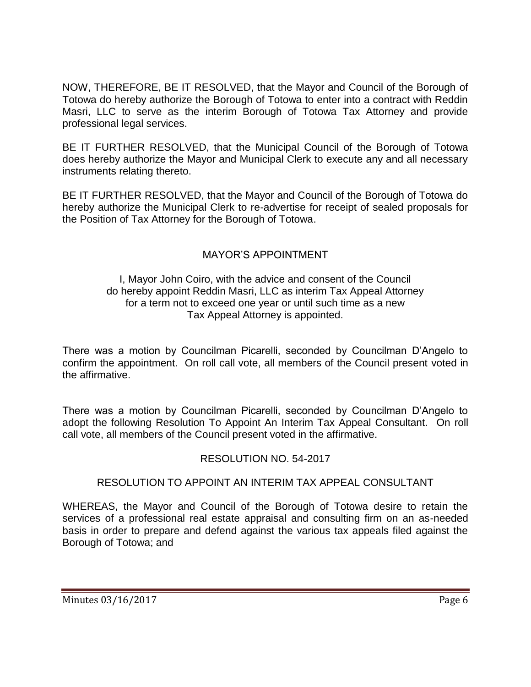NOW, THEREFORE, BE IT RESOLVED, that the Mayor and Council of the Borough of Totowa do hereby authorize the Borough of Totowa to enter into a contract with Reddin Masri, LLC to serve as the interim Borough of Totowa Tax Attorney and provide professional legal services.

BE IT FURTHER RESOLVED, that the Municipal Council of the Borough of Totowa does hereby authorize the Mayor and Municipal Clerk to execute any and all necessary instruments relating thereto.

BE IT FURTHER RESOLVED, that the Mayor and Council of the Borough of Totowa do hereby authorize the Municipal Clerk to re-advertise for receipt of sealed proposals for the Position of Tax Attorney for the Borough of Totowa.

# MAYOR'S APPOINTMENT

### I, Mayor John Coiro, with the advice and consent of the Council do hereby appoint Reddin Masri, LLC as interim Tax Appeal Attorney for a term not to exceed one year or until such time as a new Tax Appeal Attorney is appointed.

There was a motion by Councilman Picarelli, seconded by Councilman D'Angelo to confirm the appointment. On roll call vote, all members of the Council present voted in the affirmative.

There was a motion by Councilman Picarelli, seconded by Councilman D'Angelo to adopt the following Resolution To Appoint An Interim Tax Appeal Consultant. On roll call vote, all members of the Council present voted in the affirmative.

## RESOLUTION NO. 54-2017

## RESOLUTION TO APPOINT AN INTERIM TAX APPEAL CONSULTANT

WHEREAS, the Mayor and Council of the Borough of Totowa desire to retain the services of a professional real estate appraisal and consulting firm on an as-needed basis in order to prepare and defend against the various tax appeals filed against the Borough of Totowa; and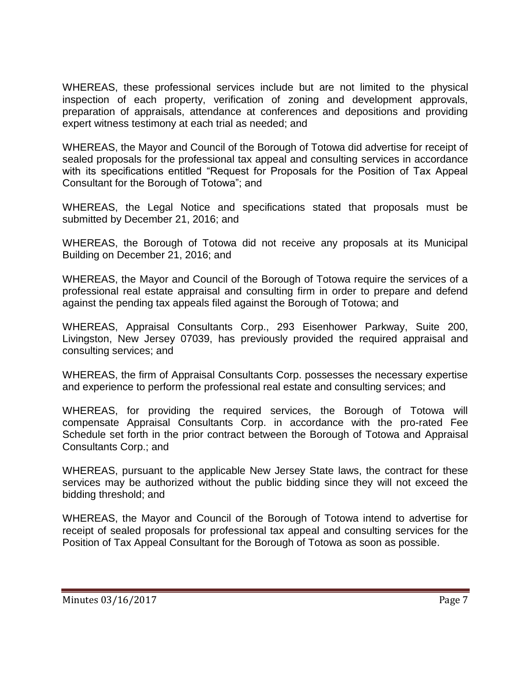WHEREAS, these professional services include but are not limited to the physical inspection of each property, verification of zoning and development approvals, preparation of appraisals, attendance at conferences and depositions and providing expert witness testimony at each trial as needed; and

WHEREAS, the Mayor and Council of the Borough of Totowa did advertise for receipt of sealed proposals for the professional tax appeal and consulting services in accordance with its specifications entitled "Request for Proposals for the Position of Tax Appeal Consultant for the Borough of Totowa"; and

WHEREAS, the Legal Notice and specifications stated that proposals must be submitted by December 21, 2016; and

WHEREAS, the Borough of Totowa did not receive any proposals at its Municipal Building on December 21, 2016; and

WHEREAS, the Mayor and Council of the Borough of Totowa require the services of a professional real estate appraisal and consulting firm in order to prepare and defend against the pending tax appeals filed against the Borough of Totowa; and

WHEREAS, Appraisal Consultants Corp., 293 Eisenhower Parkway, Suite 200, Livingston, New Jersey 07039, has previously provided the required appraisal and consulting services; and

WHEREAS, the firm of Appraisal Consultants Corp. possesses the necessary expertise and experience to perform the professional real estate and consulting services; and

WHEREAS, for providing the required services, the Borough of Totowa will compensate Appraisal Consultants Corp. in accordance with the pro-rated Fee Schedule set forth in the prior contract between the Borough of Totowa and Appraisal Consultants Corp.; and

WHEREAS, pursuant to the applicable New Jersey State laws, the contract for these services may be authorized without the public bidding since they will not exceed the bidding threshold; and

WHEREAS, the Mayor and Council of the Borough of Totowa intend to advertise for receipt of sealed proposals for professional tax appeal and consulting services for the Position of Tax Appeal Consultant for the Borough of Totowa as soon as possible.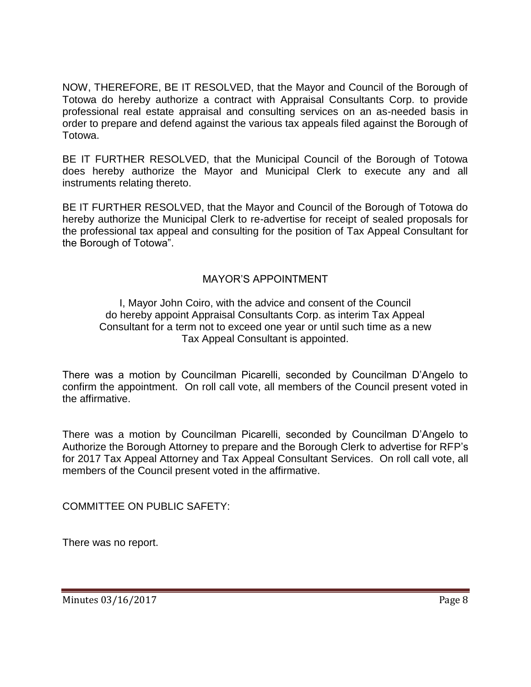NOW, THEREFORE, BE IT RESOLVED, that the Mayor and Council of the Borough of Totowa do hereby authorize a contract with Appraisal Consultants Corp. to provide professional real estate appraisal and consulting services on an as-needed basis in order to prepare and defend against the various tax appeals filed against the Borough of Totowa.

BE IT FURTHER RESOLVED, that the Municipal Council of the Borough of Totowa does hereby authorize the Mayor and Municipal Clerk to execute any and all instruments relating thereto.

BE IT FURTHER RESOLVED, that the Mayor and Council of the Borough of Totowa do hereby authorize the Municipal Clerk to re-advertise for receipt of sealed proposals for the professional tax appeal and consulting for the position of Tax Appeal Consultant for the Borough of Totowa".

# MAYOR'S APPOINTMENT

### I, Mayor John Coiro, with the advice and consent of the Council do hereby appoint Appraisal Consultants Corp. as interim Tax Appeal Consultant for a term not to exceed one year or until such time as a new Tax Appeal Consultant is appointed.

There was a motion by Councilman Picarelli, seconded by Councilman D'Angelo to confirm the appointment. On roll call vote, all members of the Council present voted in the affirmative.

There was a motion by Councilman Picarelli, seconded by Councilman D'Angelo to Authorize the Borough Attorney to prepare and the Borough Clerk to advertise for RFP's for 2017 Tax Appeal Attorney and Tax Appeal Consultant Services. On roll call vote, all members of the Council present voted in the affirmative.

COMMITTEE ON PUBLIC SAFETY:

There was no report.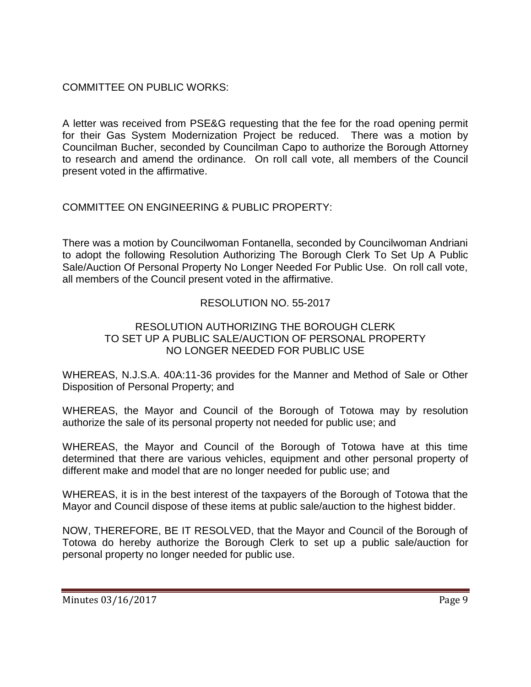COMMITTEE ON PUBLIC WORKS:

A letter was received from PSE&G requesting that the fee for the road opening permit for their Gas System Modernization Project be reduced. There was a motion by Councilman Bucher, seconded by Councilman Capo to authorize the Borough Attorney to research and amend the ordinance. On roll call vote, all members of the Council present voted in the affirmative.

# COMMITTEE ON ENGINEERING & PUBLIC PROPERTY:

There was a motion by Councilwoman Fontanella, seconded by Councilwoman Andriani to adopt the following Resolution Authorizing The Borough Clerk To Set Up A Public Sale/Auction Of Personal Property No Longer Needed For Public Use. On roll call vote, all members of the Council present voted in the affirmative.

# RESOLUTION NO. 55-2017

## RESOLUTION AUTHORIZING THE BOROUGH CLERK TO SET UP A PUBLIC SALE/AUCTION OF PERSONAL PROPERTY NO LONGER NEEDED FOR PUBLIC USE

WHEREAS, N.J.S.A. 40A:11-36 provides for the Manner and Method of Sale or Other Disposition of Personal Property; and

WHEREAS, the Mayor and Council of the Borough of Totowa may by resolution authorize the sale of its personal property not needed for public use; and

WHEREAS, the Mayor and Council of the Borough of Totowa have at this time determined that there are various vehicles, equipment and other personal property of different make and model that are no longer needed for public use; and

WHEREAS, it is in the best interest of the taxpayers of the Borough of Totowa that the Mayor and Council dispose of these items at public sale/auction to the highest bidder.

NOW, THEREFORE, BE IT RESOLVED, that the Mayor and Council of the Borough of Totowa do hereby authorize the Borough Clerk to set up a public sale/auction for personal property no longer needed for public use.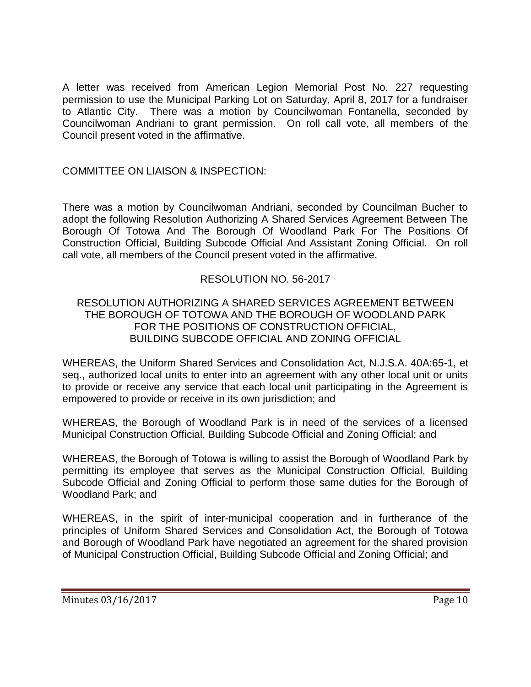A letter was received from American Legion Memorial Post No. 227 requesting permission to use the Municipal Parking Lot on Saturday, April 8, 2017 for a fundraiser to Atlantic City. There was a motion by Councilwoman Fontanella, seconded by Councilwoman Andriani to grant permission. On roll call vote, all members of the Council present voted in the affirmative.

## COMMITTEE ON LIAISON & INSPECTION:

There was a motion by Councilwoman Andriani, seconded by Councilman Bucher to adopt the following Resolution Authorizing A Shared Services Agreement Between The Borough Of Totowa And The Borough Of Woodland Park For The Positions Of Construction Official, Building Subcode Official And Assistant Zoning Official. On roll call vote, all members of the Council present voted in the affirmative.

## RESOLUTION NO. 56-2017

## RESOLUTION AUTHORIZING A SHARED SERVICES AGREEMENT BETWEEN THE BOROUGH OF TOTOWA AND THE BOROUGH OF WOODLAND PARK FOR THE POSITIONS OF CONSTRUCTION OFFICIAL, BUILDING SUBCODE OFFICIAL AND ZONING OFFICIAL

WHEREAS, the Uniform Shared Services and Consolidation Act, N.J.S.A. 40A:65-1, et seq., authorized local units to enter into an agreement with any other local unit or units to provide or receive any service that each local unit participating in the Agreement is empowered to provide or receive in its own jurisdiction; and

WHEREAS, the Borough of Woodland Park is in need of the services of a licensed Municipal Construction Official, Building Subcode Official and Zoning Official; and

WHEREAS, the Borough of Totowa is willing to assist the Borough of Woodland Park by permitting its employee that serves as the Municipal Construction Official, Building Subcode Official and Zoning Official to perform those same duties for the Borough of Woodland Park; and

WHEREAS, in the spirit of inter-municipal cooperation and in furtherance of the principles of Uniform Shared Services and Consolidation Act, the Borough of Totowa and Borough of Woodland Park have negotiated an agreement for the shared provision of Municipal Construction Official, Building Subcode Official and Zoning Official; and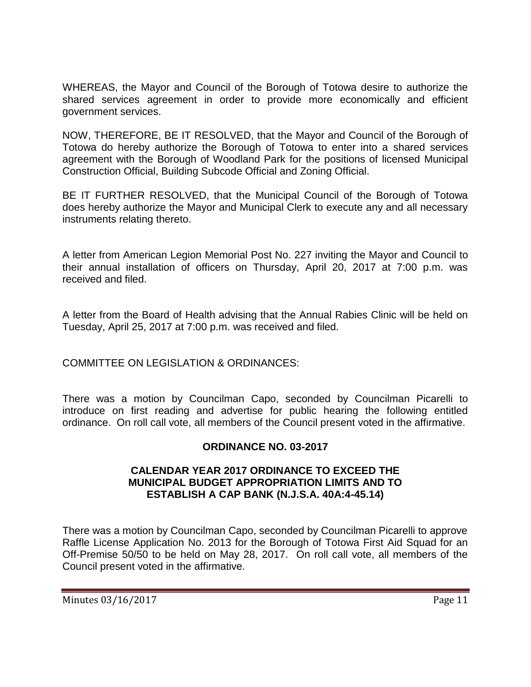WHEREAS, the Mayor and Council of the Borough of Totowa desire to authorize the shared services agreement in order to provide more economically and efficient government services.

NOW, THEREFORE, BE IT RESOLVED, that the Mayor and Council of the Borough of Totowa do hereby authorize the Borough of Totowa to enter into a shared services agreement with the Borough of Woodland Park for the positions of licensed Municipal Construction Official, Building Subcode Official and Zoning Official.

BE IT FURTHER RESOLVED, that the Municipal Council of the Borough of Totowa does hereby authorize the Mayor and Municipal Clerk to execute any and all necessary instruments relating thereto.

A letter from American Legion Memorial Post No. 227 inviting the Mayor and Council to their annual installation of officers on Thursday, April 20, 2017 at 7:00 p.m. was received and filed.

A letter from the Board of Health advising that the Annual Rabies Clinic will be held on Tuesday, April 25, 2017 at 7:00 p.m. was received and filed.

COMMITTEE ON LEGISLATION & ORDINANCES:

There was a motion by Councilman Capo, seconded by Councilman Picarelli to introduce on first reading and advertise for public hearing the following entitled ordinance. On roll call vote, all members of the Council present voted in the affirmative.

## **ORDINANCE NO. 03-2017**

## **CALENDAR YEAR 2017 ORDINANCE TO EXCEED THE MUNICIPAL BUDGET APPROPRIATION LIMITS AND TO ESTABLISH A CAP BANK (N.J.S.A. 40A:4-45.14)**

There was a motion by Councilman Capo, seconded by Councilman Picarelli to approve Raffle License Application No. 2013 for the Borough of Totowa First Aid Squad for an Off-Premise 50/50 to be held on May 28, 2017. On roll call vote, all members of the Council present voted in the affirmative.